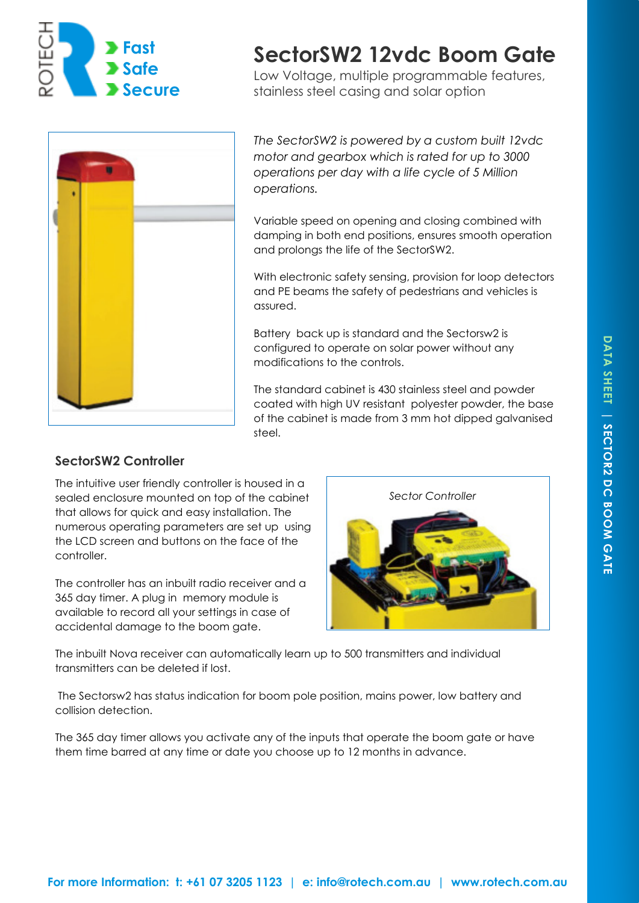

# **SectorSW2 12vdc Boom Gate**

Low Voltage, multiple programmable features, stainless steel casing and solar option



*The SectorSW2 is powered by a custom built 12vdc motor and gearbox which is rated for up to 3000 operations per day with a life cycle of 5 Million operations.* 

Variable speed on opening and closing combined with damping in both end positions, ensures smooth operation and prolongs the life of the SectorSW2.

With electronic safety sensing, provision for loop detectors and PE beams the safety of pedestrians and vehicles is assured.

Battery back up is standard and the Sectorsw2 is configured to operate on solar power without any modifications to the controls.

The standard cabinet is 430 stainless steel and powder coated with high UV resistant polyester powder, the base of the cabinet is made from 3 mm hot dipped galvanised steel.

# **SectorSW2 Controller**

The intuitive user friendly controller is housed in a sealed enclosure mounted on top of the cabinet that allows for quick and easy installation. The numerous operating parameters are set up using the LCD screen and buttons on the face of the controller.

The controller has an inbuilt radio receiver and a 365 day timer. A plug in memory module is available to record all your settings in case of accidental damage to the boom gate.



The inbuilt Nova receiver can automatically learn up to 500 transmitters and individual transmitters can be deleted if lost.

 The Sectorsw2 has status indication for boom pole position, mains power, low battery and collision detection.

The 365 day timer allows you activate any of the inputs that operate the boom gate or have them time barred at any time or date you choose up to 12 months in advance.